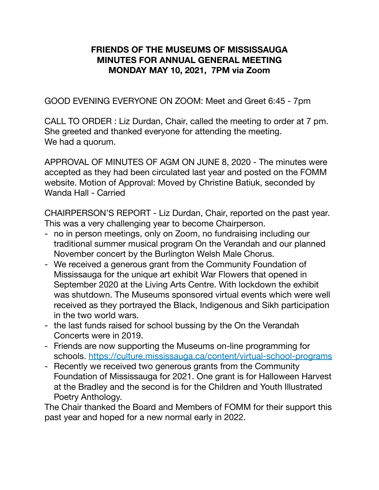## **FRIENDS OF THE MUSEUMS OF MISSISSAUGA MINUTES FOR ANNUAL GENERAL MEETING MONDAY MAY 10, 2021, 7PM via Zoom**

GOOD EVENING EVERYONE ON ZOOM: Meet and Greet 6:45 - 7pm

CALL TO ORDER : Liz Durdan, Chair, called the meeting to order at 7 pm. She greeted and thanked everyone for attending the meeting. We had a quorum.

APPROVAL OF MINUTES OF AGM ON JUNE 8, 2020 - The minutes were accepted as they had been circulated last year and posted on the FOMM website. Motion of Approval: Moved by Christine Batiuk, seconded by Wanda Hall - Carried

CHAIRPERSON'S REPORT - Liz Durdan, Chair, reported on the past year. This was a very challenging year to become Chairperson.

- no in person meetings, only on Zoom, no fundraising including our traditional summer musical program On the Verandah and our planned November concert by the Burlington Welsh Male Chorus.
- We received a generous grant from the Community Foundation of Mississauga for the unique art exhibit War Flowers that opened in September 2020 at the Living Arts Centre. With lockdown the exhibit was shutdown. The Museums sponsored virtual events which were well received as they portrayed the Black, Indigenous and Sikh participation in the two world wars.
- the last funds raised for school bussing by the On the Verandah Concerts were in 2019.
- Friends are now supporting the Museums on-line programming for schools. <https://culture.mississauga.ca/content/virtual-school-programs>
- Recently we received two generous grants from the Community Foundation of Mississauga for 2021. One grant is for Halloween Harvest at the Bradley and the second is for the Children and Youth Illustrated Poetry Anthology.

The Chair thanked the Board and Members of FOMM for their support this past year and hoped for a new normal early in 2022.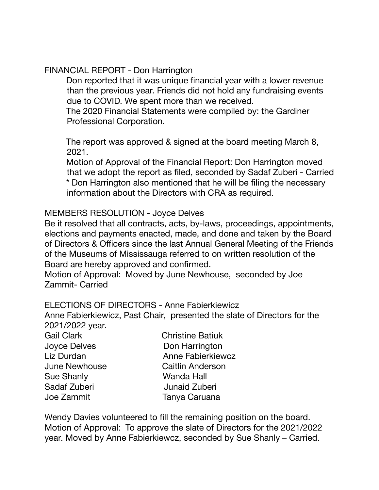## FINANCIAL REPORT - Don Harrington

Don reported that it was unique financial year with a lower revenue than the previous year. Friends did not hold any fundraising events due to COVID. We spent more than we received.

The 2020 Financial Statements were compiled by: the Gardiner Professional Corporation.

The report was approved & signed at the board meeting March 8, 2021.

Motion of Approval of the Financial Report: Don Harrington moved that we adopt the report as filed, seconded by Sadaf Zuberi - Carried \* Don Harrington also mentioned that he will be filing the necessary

information about the Directors with CRA as required.

### MEMBERS RESOLUTION - Joyce Delves

Be it resolved that all contracts, acts, by-laws, proceedings, appointments, elections and payments enacted, made, and done and taken by the Board of Directors & Officers since the last Annual General Meeting of the Friends of the Museums of Mississauga referred to on written resolution of the Board are hereby approved and confirmed.

Motion of Approval: Moved by June Newhouse, seconded by Joe Zammit- Carried

#### ELECTIONS OF DIRECTORS - Anne Fabierkiewicz

Anne Fabierkiewicz, Past Chair, presented the slate of Directors for the 2021/2022 year.

| <b>Christine Batiuk</b>  |
|--------------------------|
| Don Harrington           |
| <b>Anne Fabierkiewcz</b> |
| Caitlin Anderson         |
| Wanda Hall               |
| <b>Junaid Zuberi</b>     |
| Tanya Caruana            |
|                          |

Wendy Davies volunteered to fill the remaining position on the board. Motion of Approval: To approve the slate of Directors for the 2021/2022 year. Moved by Anne Fabierkiewcz, seconded by Sue Shanly – Carried.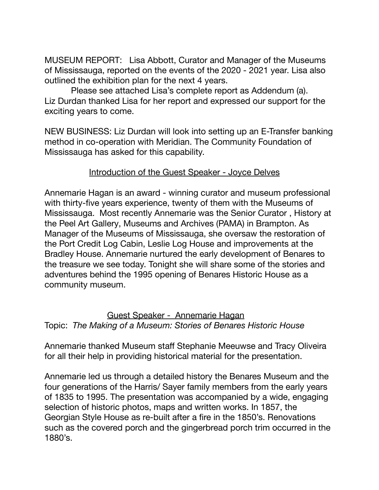MUSEUM REPORT: Lisa Abbott, Curator and Manager of the Museums of Mississauga, reported on the events of the 2020 - 2021 year. Lisa also outlined the exhibition plan for the next 4 years.

Please see attached Lisa's complete report as Addendum (a). Liz Durdan thanked Lisa for her report and expressed our support for the exciting years to come.

NEW BUSINESS: Liz Durdan will look into setting up an E-Transfer banking method in co-operation with Meridian. The Community Foundation of Mississauga has asked for this capability.

## Introduction of the Guest Speaker - Joyce Delves

Annemarie Hagan is an award - winning curator and museum professional with thirty-five years experience, twenty of them with the Museums of Mississauga. Most recently Annemarie was the Senior Curator , History at the Peel Art Gallery, Museums and Archives (PAMA) in Brampton. As Manager of the Museums of Mississauga, she oversaw the restoration of the Port Credit Log Cabin, Leslie Log House and improvements at the Bradley House. Annemarie nurtured the early development of Benares to the treasure we see today. Tonight she will share some of the stories and adventures behind the 1995 opening of Benares Historic House as a community museum.

Guest Speaker - Annemarie Hagan Topic: *The Making of a Museum: Stories of Benares Historic House*

Annemarie thanked Museum staff Stephanie Meeuwse and Tracy Oliveira for all their help in providing historical material for the presentation.

Annemarie led us through a detailed history the Benares Museum and the four generations of the Harris/ Sayer family members from the early years of 1835 to 1995. The presentation was accompanied by a wide, engaging selection of historic photos, maps and written works. In 1857, the Georgian Style House as re-built after a fire in the 1850's. Renovations such as the covered porch and the gingerbread porch trim occurred in the 1880's.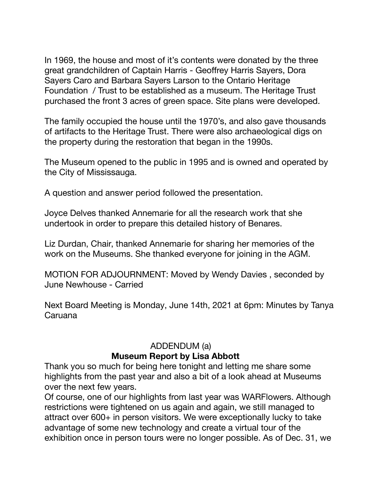In 1969, the house and most of it's contents were donated by the three great grandchildren of Captain Harris - Geoffrey Harris Sayers, Dora Sayers Caro and Barbara Sayers Larson to the Ontario Heritage Foundation / Trust to be established as a museum. The Heritage Trust purchased the front 3 acres of green space. Site plans were developed.

The family occupied the house until the 1970's, and also gave thousands of artifacts to the Heritage Trust. There were also archaeological digs on the property during the restoration that began in the 1990s.

The Museum opened to the public in 1995 and is owned and operated by the City of Mississauga.

A question and answer period followed the presentation.

Joyce Delves thanked Annemarie for all the research work that she undertook in order to prepare this detailed history of Benares.

Liz Durdan, Chair, thanked Annemarie for sharing her memories of the work on the Museums. She thanked everyone for joining in the AGM.

MOTION FOR ADJOURNMENT: Moved by Wendy Davies , seconded by June Newhouse - Carried

Next Board Meeting is Monday, June 14th, 2021 at 6pm: Minutes by Tanya Caruana

# ADDENDUM (a) **Museum Report by Lisa Abbott**

Thank you so much for being here tonight and letting me share some highlights from the past year and also a bit of a look ahead at Museums over the next few years.

Of course, one of our highlights from last year was WARFlowers. Although restrictions were tightened on us again and again, we still managed to attract over 600+ in person visitors. We were exceptionally lucky to take advantage of some new technology and create a virtual tour of the exhibition once in person tours were no longer possible. As of Dec. 31, we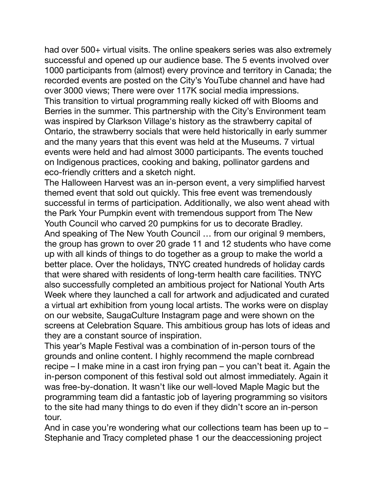had over 500+ virtual visits. The online speakers series was also extremely successful and opened up our audience base. The 5 events involved over 1000 participants from (almost) every province and territory in Canada; the recorded events are posted on the City's YouTube channel and have had over 3000 views; There were over 117K social media impressions. This transition to virtual programming really kicked off with Blooms and Berries in the summer. This partnership with the City's Environment team was inspired by Clarkson Village's history as the strawberry capital of Ontario, the strawberry socials that were held historically in early summer and the many years that this event was held at the Museums. 7 virtual events were held and had almost 3000 participants. The events touched on Indigenous practices, cooking and baking, pollinator gardens and eco-friendly critters and a sketch night.

The Halloween Harvest was an in-person event, a very simplified harvest themed event that sold out quickly. This free event was tremendously successful in terms of participation. Additionally, we also went ahead with the Park Your Pumpkin event with tremendous support from The New Youth Council who carved 20 pumpkins for us to decorate Bradley. And speaking of The New Youth Council … from our original 9 members, the group has grown to over 20 grade 11 and 12 students who have come up with all kinds of things to do together as a group to make the world a better place. Over the holidays, TNYC created hundreds of holiday cards that were shared with residents of long-term health care facilities. TNYC also successfully completed an ambitious project for National Youth Arts Week where they launched a call for artwork and adjudicated and curated a virtual art exhibition from young local artists. The works were on display on our website, SaugaCulture Instagram page and were shown on the screens at Celebration Square. This ambitious group has lots of ideas and they are a constant source of inspiration.

This year's Maple Festival was a combination of in-person tours of the grounds and online content. I highly recommend the maple cornbread recipe – I make mine in a cast iron frying pan – you can't beat it. Again the in-person component of this festival sold out almost immediately. Again it was free-by-donation. It wasn't like our well-loved Maple Magic but the programming team did a fantastic job of layering programming so visitors to the site had many things to do even if they didn't score an in-person tour.

And in case you're wondering what our collections team has been up to -Stephanie and Tracy completed phase 1 our the deaccessioning project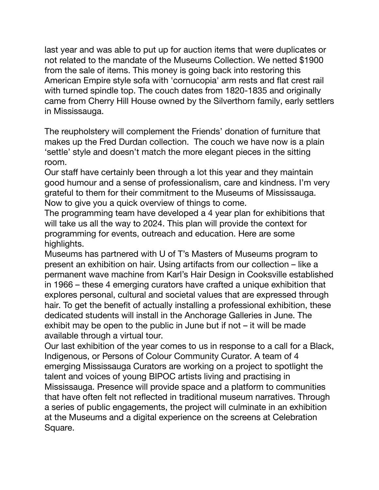last year and was able to put up for auction items that were duplicates or not related to the mandate of the Museums Collection. We netted \$1900 from the sale of items. This money is going back into restoring this American Empire style sofa with 'cornucopia' arm rests and flat crest rail with turned spindle top. The couch dates from 1820-1835 and originally came from Cherry Hill House owned by the Silverthorn family, early settlers in Mississauga.

The reupholstery will complement the Friends' donation of furniture that makes up the Fred Durdan collection. The couch we have now is a plain 'settle' style and doesn't match the more elegant pieces in the sitting room.

Our staff have certainly been through a lot this year and they maintain good humour and a sense of professionalism, care and kindness. I'm very grateful to them for their commitment to the Museums of Mississauga. Now to give you a quick overview of things to come.

The programming team have developed a 4 year plan for exhibitions that will take us all the way to 2024. This plan will provide the context for programming for events, outreach and education. Here are some highlights.

Museums has partnered with U of T's Masters of Museums program to present an exhibition on hair. Using artifacts from our collection – like a permanent wave machine from Karl's Hair Design in Cooksville established in 1966 – these 4 emerging curators have crafted a unique exhibition that explores personal, cultural and societal values that are expressed through hair. To get the benefit of actually installing a professional exhibition, these dedicated students will install in the Anchorage Galleries in June. The exhibit may be open to the public in June but if not – it will be made available through a virtual tour.

Our last exhibition of the year comes to us in response to a call for a Black, Indigenous, or Persons of Colour Community Curator. A team of 4 emerging Mississauga Curators are working on a project to spotlight the talent and voices of young BIPOC artists living and practising in Mississauga. Presence will provide space and a platform to communities that have often felt not reflected in traditional museum narratives. Through a series of public engagements, the project will culminate in an exhibition at the Museums and a digital experience on the screens at Celebration Square.